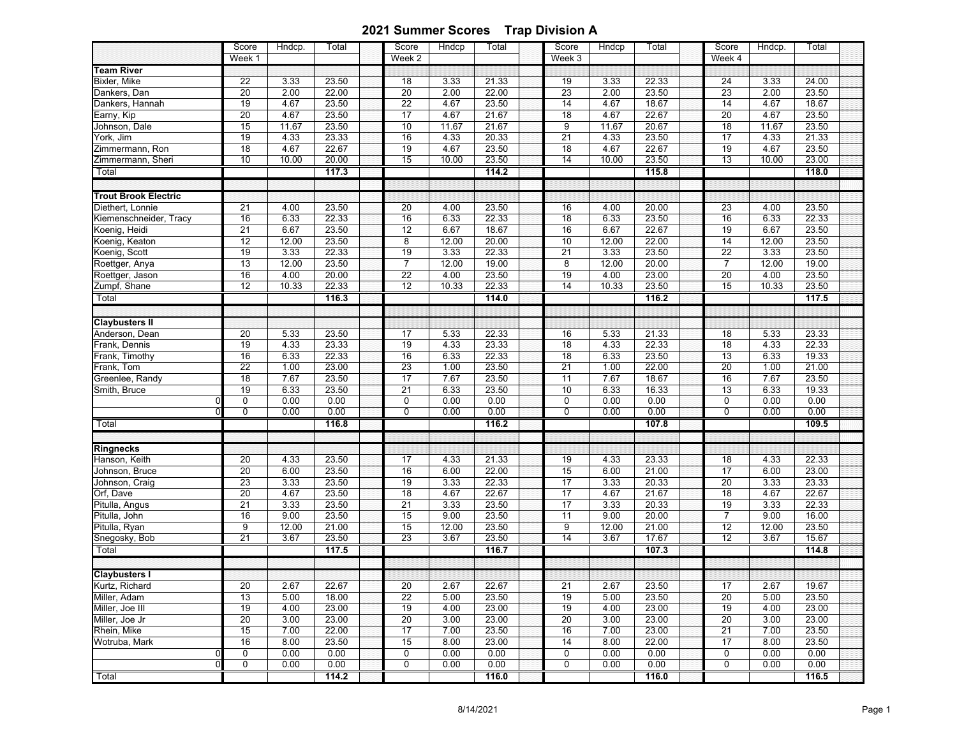|                                            | Score<br>Week 1 | Hndcp.        | Total          | Score<br>Week 2 | Hndcp         | Total          | Score<br>Week 3       | Hndcp        | Total          | Score<br>Week 4 | Hndcp.        | Total          |  |
|--------------------------------------------|-----------------|---------------|----------------|-----------------|---------------|----------------|-----------------------|--------------|----------------|-----------------|---------------|----------------|--|
| <b>Team River</b>                          |                 |               |                |                 |               |                |                       |              |                |                 |               |                |  |
| Bixler, Mike                               | 22              | 3.33          | 23.50          | 18              | 3.33          | 21.33          | 19                    | 3.33         | 22.33          | 24              | 3.33          | 24.00          |  |
| Dankers, Dan                               | 20              | 2.00          | 22.00          | 20              | 2.00          | 22.00          | 23                    | 2.00         | 23.50          | 23              | 2.00          | 23.50          |  |
| Dankers, Hannah                            | 19              | 4.67          | 23.50          | $\overline{22}$ | 4.67          | 23.50          | $\overline{14}$       | 4.67         | 18.67          | 14              | 4.67          | 18.67          |  |
| Earny, Kip                                 | $\overline{20}$ | 4.67          | 23.50          | 17              | 4.67          | 21.67          | 18                    | 4.67         | 22.67          | $\overline{20}$ | 4.67          | 23.50          |  |
| Johnson, Dale                              | 15              | 11.67         | 23.50          | 10              | 11.67         | 21.67          | $\overline{9}$        | 11.67        | 20.67          | $\overline{18}$ | 11.67         | 23.50          |  |
| York, Jim                                  | 19              | 4.33          | 23.33          | 16              | 4.33          | 20.33          | 21                    | 4.33         | 23.50          | 17              | 4.33          | 21.33          |  |
| Zimmermann, Ron                            | 18              | 4.67          | 22.67          | 19              | 4.67          | 23.50          | 18                    | 4.67         | 22.67          | 19              | 4.67          | 23.50          |  |
| Zimmermann, Sheri                          | 10              | 10.00         | 20.00          | 15              | 10.00         | 23.50          | 14                    | 10.00        | 23.50          | 13              | 10.00         | 23.00          |  |
| Total                                      |                 |               | 117.3          |                 |               | 114.2          |                       |              | 115.8          |                 |               | 118.0          |  |
| <b>Trout Brook Electric</b>                |                 |               |                |                 |               |                |                       |              |                |                 |               |                |  |
|                                            | 21              | 4.00          |                |                 |               |                |                       |              |                |                 |               |                |  |
| Diethert, Lonnie<br>Kiemenschneider, Tracy | 16              |               | 23.50<br>22.33 | 20<br>16        | 4.00          | 23.50<br>22.33 | 16<br>$\overline{18}$ | 4.00         | 20.00<br>23.50 | 23<br>16        | 4.00<br>6.33  | 23.50<br>22.33 |  |
| Koenig, Heidi                              |                 | 6.33          | 23.50          |                 | 6.33          | 18.67          | 16                    | 6.33<br>6.67 | 22.67          | 19              |               | 23.50          |  |
| Koenig, Keaton                             | 21<br>12        | 6.67<br>12.00 | 23.50          | 12<br>8         | 6.67<br>12.00 | 20.00          | 10                    | 12.00        | 22.00          | 14              | 6.67<br>12.00 | 23.50          |  |
| Koenig, Scott                              | 19              | 3.33          | 22.33          | 19              | 3.33          | 22.33          | $\overline{21}$       | 3.33         | 23.50          | $\overline{22}$ | 3.33          | 23.50          |  |
| Roettger, Anya                             | 13              | 12.00         | 23.50          | $\overline{7}$  | 12.00         | 19.00          | 8                     | 12.00        | 20.00          | $\overline{7}$  | 12.00         | 19.00          |  |
| Roettger, Jason                            | 16              | 4.00          | 20.00          | $\overline{22}$ | 4.00          | 23.50          | 19                    | 4.00         | 23.00          | $\overline{20}$ | 4.00          | 23.50          |  |
| Zumpf, Shane                               | $\overline{12}$ | 10.33         | 22.33          | 12              | 10.33         | 22.33          | $\overline{14}$       | 10.33        | 23.50          | 15              | 10.33         | 23.50          |  |
| Total                                      |                 |               | 116.3          |                 |               | 114.0          |                       |              | 116.2          |                 |               | 117.5          |  |
|                                            |                 |               |                |                 |               |                |                       |              |                |                 |               |                |  |
| <b>Claybusters II</b>                      |                 |               |                |                 |               |                |                       |              |                |                 |               |                |  |
| Anderson, Dean                             | 20              | 5.33          | 23.50          | 17              | 5.33          | 22.33          | 16                    | 5.33         | 21.33          | 18              | 5.33          | 23.33          |  |
| Frank, Dennis                              | 19              | 4.33          | 23.33          | 19              | 4.33          | 23.33          | 18                    | 4.33         | 22.33          | $\overline{18}$ | 4.33          | 22.33          |  |
| Frank, Timothy                             | 16              | 6.33          | 22.33          | 16              | 6.33          | 22.33          | 18                    | 6.33         | 23.50          | 13              | 6.33          | 19.33          |  |
| Frank, Tom                                 | $\overline{22}$ | 1.00          | 23.00          | 23              | 1.00          | 23.50          | $\overline{21}$       | 1.00         | 22.00          | 20              | 1.00          | 21.00          |  |
| Greenlee, Randy                            | $\overline{18}$ | 7.67          | 23.50          | $\overline{17}$ | 7.67          | 23.50          | 11                    | 7.67         | 18.67          | 16              | 7.67          | 23.50          |  |
| Smith, Bruce                               | 19              | 6.33          | 23.50          | $\overline{21}$ | 6.33          | 23.50          | $10$                  | 6.33         | 16.33          | 13              | 6.33          | 19.33          |  |
|                                            | 0               | 0.00          | 0.00           | $\pmb{0}$       | 0.00          | 0.00           | 0                     | 0.00         | 0.00           | 0               | 0.00          | 0.00           |  |
|                                            | 0               | 0.00          | 0.00           | $\overline{0}$  | 0.00          | 0.00           | 0                     | 0.00         | 0.00           | $\mathbf 0$     | 0.00          | 0.00           |  |
| Total                                      |                 |               | 116.8          |                 |               | 116.2          |                       |              | 107.8          |                 |               | 109.5          |  |
| <b>Ringnecks</b>                           |                 |               |                |                 |               |                |                       |              |                |                 |               |                |  |
| Hanson, Keith                              | 20              | 4.33          | 23.50          | 17              | 4.33          | 21.33          | 19                    | 4.33         | 23.33          | 18              | 4.33          | 22.33          |  |
| Johnson, Bruce                             | 20              | 6.00          | 23.50          | 16              | 6.00          | 22.00          | 15                    | 6.00         | 21.00          | $\overline{17}$ | 6.00          | 23.00          |  |
| Johnson, Craig                             | 23              | 3.33          | 23.50          | 19              | 3.33          | 22.33          | 17                    | 3.33         | 20.33          | 20              | 3.33          | 23.33          |  |
| Orf, Dave                                  | $\overline{20}$ | 4.67          | 23.50          | $\overline{18}$ | 4.67          | 22.67          | $\overline{17}$       | 4.67         | 21.67          | $\overline{18}$ | 4.67          | 22.67          |  |
| Pitulla, Angus                             | 21              | 3.33          | 23.50          | $\overline{21}$ | 3.33          | 23.50          | $\overline{17}$       | 3.33         | 20.33          | 19              | 3.33          | 22.33          |  |
| Pitulla, John                              | 16              | 9.00          | 23.50          | 15              | 9.00          | 23.50          | 11                    | 9.00         | 20.00          | $\overline{7}$  | 9.00          | 16.00          |  |
| Pitulla, Ryan                              | 9               | 12.00         | 21.00          | 15              | 12.00         | 23.50          | 9                     | 12.00        | 21.00          | 12              | 12.00         | 23.50          |  |
| Snegosky, Bob                              | 21              | 3.67          | 23.50          | 23              | 3.67          | 23.50          | $\overline{14}$       | 3.67         | 17.67          | 12              | 3.67          | 15.67          |  |
| Total                                      |                 |               | 117.5          |                 |               | 116.7          |                       |              | 107.3          |                 |               | 114.8          |  |
|                                            |                 |               |                |                 |               |                |                       |              |                |                 |               |                |  |
| <b>Claybusters I</b>                       |                 |               |                |                 |               |                |                       |              |                |                 |               |                |  |
| Kurtz, Richard                             | 20              | 2.67          | 22.67          | 20              | 2.67          | 22.67          | 21                    | 2.67         | 23.50          | 17              | 2.67          | 19.67          |  |
| Miller, Adam                               | 13              | 5.00          | 18.00          | $\overline{22}$ | 5.00          | 23.50          | 19                    | 5.00         | 23.50          | $\overline{20}$ | 5.00          | 23.50          |  |
| Miller, Joe III                            | 19              | 4.00          | 23.00          | 19              | 4.00          | 23.00          | 19                    | 4.00         | 23.00          | 19              | 4.00          | 23.00          |  |
| Miller, Joe Jr                             | 20              | 3.00          | 23.00          | 20              | 3.00          | 23.00          | 20                    | 3.00         | 23.00          | 20              | 3.00          | 23.00          |  |
| Rhein, Mike                                | 15              | 7.00          | 22.00          | 17              | 7.00          | 23.50          | 16                    | 7.00         | 23.00          | 21              | 7.00          | 23.50          |  |
| Wotruba, Mark                              | 16              | 8.00          | 23.50          | 15              | 8.00          | 23.00          | 14                    | 8.00         | 22.00          | 17              | 8.00          | 23.50          |  |
| O                                          | 0               | 0.00          | 0.00           | 0               | 0.00          | 0.00           | 0                     | 0.00         | 0.00           | 0               | 0.00          | 0.00           |  |
| $\Omega$                                   | 0               | 0.00          | 0.00           | 0               | 0.00          | 0.00           | 0                     | 0.00         | 0.00           | 0               | 0.00          | 0.00           |  |
| Total                                      |                 |               | 114.2          |                 |               | 116.0          |                       |              | 116.0          |                 |               | 116.5          |  |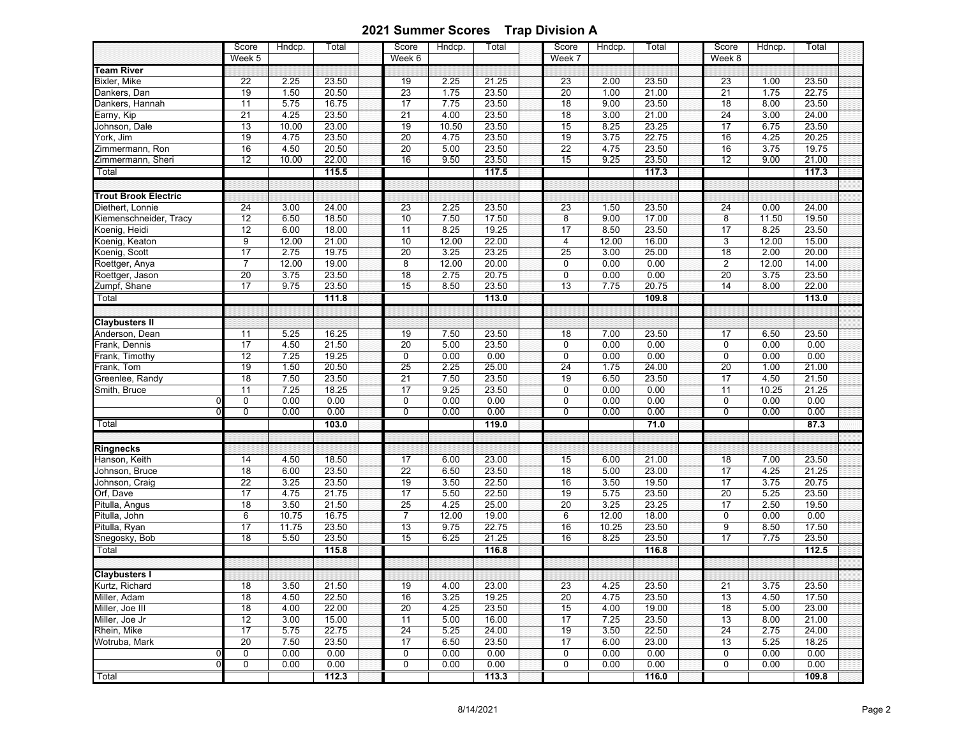|                             | Score<br>Week 5 | Hndcp. | Total | Score<br>Week 6 | Hndcp. | Total | Score<br>Week 7         | Hndcp. | Total | Score<br>Week 8 | Hdncp. | Total |
|-----------------------------|-----------------|--------|-------|-----------------|--------|-------|-------------------------|--------|-------|-----------------|--------|-------|
| <b>Feam River</b>           |                 |        |       |                 |        |       |                         |        |       |                 |        |       |
| Bixler, Mike                | 22              | 2.25   | 23.50 | 19              | 2.25   | 21.25 | 23                      | 2.00   | 23.50 | 23              | 1.00   | 23.50 |
| Dankers, Dan                | 19              | 1.50   | 20.50 | $\overline{23}$ | 1.75   | 23.50 | 20                      | 1.00   | 21.00 | 21              | 1.75   | 22.75 |
| Dankers, Hannah             | 11              | 5.75   | 16.75 | $\overline{17}$ | 7.75   | 23.50 | 18                      | 9.00   | 23.50 | $\overline{18}$ | 8.00   | 23.50 |
| Earny, Kip                  | 21              | 4.25   | 23.50 | 21              | 4.00   | 23.50 | 18                      | 3.00   | 21.00 | $\overline{24}$ | 3.00   | 24.00 |
| Johnson, Dale               | 13              | 10.00  | 23.00 | 19              | 10.50  | 23.50 | 15                      | 8.25   | 23.25 | $\overline{17}$ | 6.75   | 23.50 |
| York, Jim                   | 19              | 4.75   | 23.50 | 20              | 4.75   | 23.50 | 19                      | 3.75   | 22.75 | 16              | 4.25   | 20.25 |
| Zimmermann, Ron             | 16              | 4.50   | 20.50 | 20              | 5.00   | 23.50 | 22                      | 4.75   | 23.50 | 16              | 3.75   | 19.75 |
| Zimmermann, Sheri           | 12              | 10.00  | 22.00 | 16              | 9.50   | 23.50 | 15                      | 9.25   | 23.50 | $\overline{12}$ | 9.00   | 21.00 |
| Total                       |                 |        | 115.5 |                 |        | 117.5 |                         |        | 117.3 |                 |        | 117.3 |
| <b>Trout Brook Electric</b> |                 |        |       |                 |        |       |                         |        |       |                 |        |       |
|                             |                 |        |       |                 |        |       |                         |        |       |                 |        |       |
| Diethert. Lonnie            | $\overline{24}$ | 3.00   | 24.00 | 23              | 2.25   | 23.50 | 23                      | 1.50   | 23.50 | 24              | 0.00   | 24.00 |
| Kiemenschneider, Tracy      | 12              | 6.50   | 18.50 | 10              | 7.50   | 17.50 | 8                       | 9.00   | 17.00 | 8               | 11.50  | 19.50 |
| Koenig, Heidi               | 12              | 6.00   | 18.00 | 11              | 8.25   | 19.25 | 17                      | 8.50   | 23.50 | 17              | 8.25   | 23.50 |
| Koenig, Keaton              | 9               | 12.00  | 21.00 | 10              | 12.00  | 22.00 | $\overline{\mathbf{4}}$ | 12.00  | 16.00 | 3               | 12.00  | 15.00 |
| Koenig, Scott               | 17              | 2.75   | 19.75 | 20              | 3.25   | 23.25 | $\overline{25}$         | 3.00   | 25.00 | $\overline{18}$ | 2.00   | 20.00 |
| Roettger, Anya              | $\overline{7}$  | 12.00  | 19.00 | $\bf{8}$        | 12.00  | 20.00 | 0                       | 0.00   | 0.00  | 2               | 12.00  | 14.00 |
| Roettger, Jason             | $\overline{20}$ | 3.75   | 23.50 | 18              | 2.75   | 20.75 | 0                       | 0.00   | 0.00  | 20              | 3.75   | 23.50 |
| Zumpf, Shane                | $\overline{17}$ | 9.75   | 23.50 | 15              | 8.50   | 23.50 | 13                      | 7.75   | 20.75 | 14              | 8.00   | 22.00 |
| Total                       |                 |        | 111.8 |                 |        | 113.0 |                         |        | 109.8 |                 |        | 113.0 |
| <b>Claybusters II</b>       |                 |        |       |                 |        |       |                         |        |       |                 |        |       |
| Anderson, Dean              | 11              | 5.25   | 16.25 | 19              | 7.50   | 23.50 | 18                      | 7.00   | 23.50 | 17              | 6.50   | 23.50 |
| Frank, Dennis               | $\overline{17}$ | 4.50   | 21.50 | $\overline{20}$ | 5.00   | 23.50 | $\mathbf 0$             | 0.00   | 0.00  | 0               | 0.00   | 0.00  |
| Frank, Timothy              | 12              | 7.25   | 19.25 | $\overline{0}$  | 0.00   | 0.00  | $\mathbf 0$             | 0.00   | 0.00  | 0               | 0.00   | 0.00  |
| Frank, Tom                  | 19              | 1.50   | 20.50 | 25              | 2.25   | 25.00 | $\overline{24}$         | 1.75   | 24.00 | 20              | 1.00   | 21.00 |
| Greenlee, Randy             | 18              | 7.50   | 23.50 | 21              | 7.50   | 23.50 | 19                      | 6.50   | 23.50 | 17              | 4.50   | 21.50 |
| Smith, Bruce                | 11              | 7.25   | 18.25 | 17              | 9.25   | 23.50 | $\mathbf 0$             | 0.00   | 0.00  | 11              | 10.25  | 21.25 |
| C                           | 0               | 0.00   | 0.00  | 0               | 0.00   | 0.00  | 0                       | 0.00   | 0.00  | 0               | 0.00   | 0.00  |
|                             | $\mathbf 0$     | 0.00   | 0.00  | $\overline{0}$  | 0.00   | 0.00  | $\Omega$                | 0.00   | 0.00  | $\overline{0}$  | 0.00   | 0.00  |
| Total                       |                 |        | 103.0 |                 |        | 119.0 |                         |        | 71.0  |                 |        | 87.3  |
| <b>Ringnecks</b>            |                 |        |       |                 |        |       |                         |        |       |                 |        |       |
| Hanson, Keith               | 14              | 4.50   | 18.50 | 17              | 6.00   | 23.00 | 15                      | 6.00   | 21.00 | 18              | 7.00   | 23.50 |
| Johnson, Bruce              | 18              | 6.00   | 23.50 | 22              | 6.50   | 23.50 | 18                      | 5.00   | 23.00 | 17              | 4.25   | 21.25 |
| Johnson, Craig              | 22              | 3.25   | 23.50 | 19              | 3.50   | 22.50 | 16                      | 3.50   | 19.50 | 17              | 3.75   | 20.75 |
| Orf, Dave                   | 17              | 4.75   | 21.75 | 17              | 5.50   | 22.50 | $\overline{19}$         | 5.75   | 23.50 | 20              | 5.25   | 23.50 |
| Pitulla, Angus              | 18              | 3.50   | 21.50 | 25              | 4.25   | 25.00 | 20                      | 3.25   | 23.25 | 17              | 2.50   | 19.50 |
| Pitulla, John               | 6               | 10.75  | 16.75 | $\overline{7}$  | 12.00  | 19.00 | 6                       | 12.00  | 18.00 | $\mathbf 0$     | 0.00   | 0.00  |
| Pitulla, Ryan               | 17              | 11.75  | 23.50 | 13              | 9.75   | 22.75 | 16                      | 10.25  | 23.50 | 9               | 8.50   | 17.50 |
| Snegosky, Bob               | 18              | 5.50   | 23.50 | 15              | 6.25   | 21.25 | 16                      | 8.25   | 23.50 | 17              | 7.75   | 23.50 |
| Total                       |                 |        | 115.8 |                 |        | 116.8 |                         |        | 116.8 |                 |        | 112.5 |
|                             |                 |        |       |                 |        |       |                         |        |       |                 |        |       |
| <b>Claybusters I</b>        |                 |        |       |                 |        |       |                         |        |       |                 |        |       |
| Kurtz, Richard              | 18              | 3.50   | 21.50 | 19              | 4.00   | 23.00 | 23                      | 4.25   | 23.50 | 21              | 3.75   | 23.50 |
| Miller, Adam                | 18              | 4.50   | 22.50 | 16              | 3.25   | 19.25 | $\overline{20}$         | 4.75   | 23.50 | $\overline{13}$ | 4.50   | 17.50 |
| Miller, Joe III             | 18              | 4.00   | 22.00 | 20              | 4.25   | 23.50 | 15                      | 4.00   | 19.00 | 18              | 5.00   | 23.00 |
| Miller, Joe Jr              | 12              | 3.00   | 15.00 | 11              | 5.00   | 16.00 | 17                      | 7.25   | 23.50 | 13              | 8.00   | 21.00 |
| Rhein, Mike                 | 17              | 5.75   | 22.75 | 24              | 5.25   | 24.00 | 19                      | 3.50   | 22.50 | 24              | 2.75   | 24.00 |
| Wotruba, Mark               | 20              | 7.50   | 23.50 | 17              | 6.50   | 23.50 | 17                      | 6.00   | 23.00 | 13              | 5.25   | 18.25 |
|                             | 0               | 0.00   | 0.00  | 0               | 0.00   | 0.00  | 0                       | 0.00   | 0.00  | 0               | 0.00   | 0.00  |
| $\Omega$                    | 0               | 0.00   | 0.00  | 0               | 0.00   | 0.00  | 0                       | 0.00   | 0.00  | 0               | 0.00   | 0.00  |
| Total                       |                 |        | 112.3 |                 |        | 113.3 |                         |        | 116.0 |                 |        | 109.8 |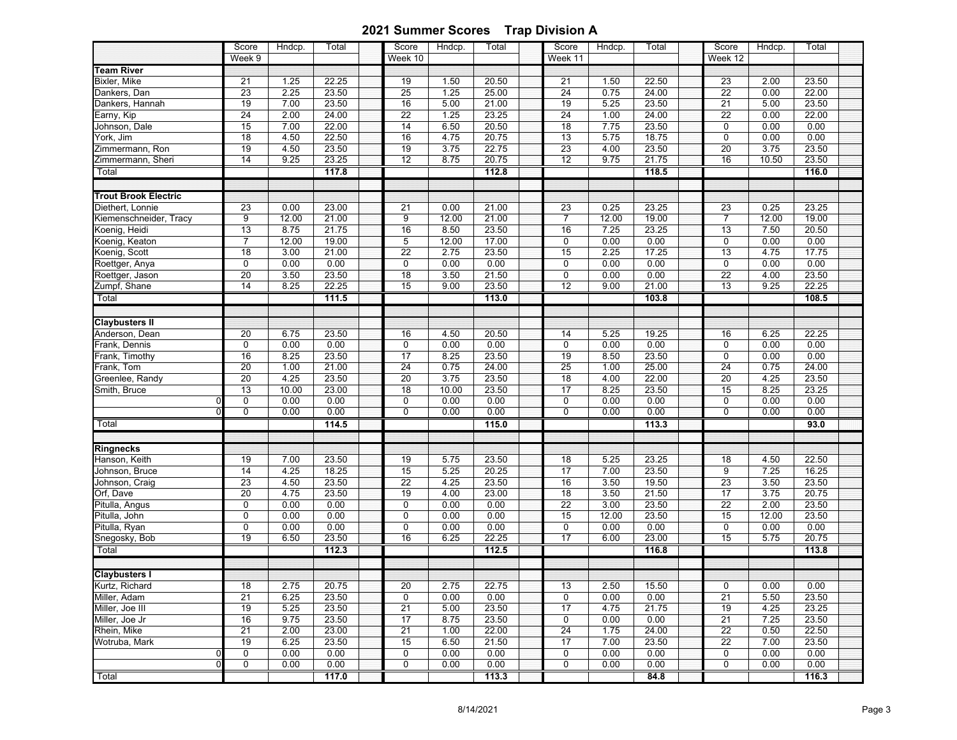|                             | Score<br>Week 9 | Hndcp. | Total             | Score<br>Week 10 | Hndcp. | Total | Score<br>Week 11 | Hndcp. | Total | Score<br>Week 12 | Hndcp. | Total |
|-----------------------------|-----------------|--------|-------------------|------------------|--------|-------|------------------|--------|-------|------------------|--------|-------|
| <b>Team River</b>           |                 |        |                   |                  |        |       |                  |        |       |                  |        |       |
| Bixler, Mike                | 21              | 1.25   | 22.25             | 19               | 1.50   | 20.50 | 21               | 1.50   | 22.50 | 23               | 2.00   | 23.50 |
| Dankers, Dan                | 23              | 2.25   | 23.50             | $\overline{25}$  | 1.25   | 25.00 | 24               | 0.75   | 24.00 | 22               | 0.00   | 22.00 |
| Dankers, Hannah             | 19              | 7.00   | 23.50             | 16               | 5.00   | 21.00 | $\overline{19}$  | 5.25   | 23.50 | $\overline{21}$  | 5.00   | 23.50 |
| Earny, Kip                  | $\overline{24}$ | 2.00   | 24.00             | $\overline{22}$  | 1.25   | 23.25 | $\overline{24}$  | 1.00   | 24.00 | $\overline{22}$  | 0.00   | 22.00 |
| Johnson, Dale               | 15              | 7.00   | 22.00             | 14               | 6.50   | 20.50 | 18               | 7.75   | 23.50 | 0                | 0.00   | 0.00  |
| York, Jim                   | 18              | 4.50   | 22.50             | 16               | 4.75   | 20.75 | 13               | 5.75   | 18.75 | $\mathbf 0$      | 0.00   | 0.00  |
| Zimmermann, Ron             | 19              | 4.50   | 23.50             | 19               | 3.75   | 22.75 | 23               | 4.00   | 23.50 | 20               | 3.75   | 23.50 |
| Zimmermann, Sheri           | 14              | 9.25   | 23.25             | $\overline{12}$  | 8.75   | 20.75 | $\overline{12}$  | 9.75   | 21.75 | 16               | 10.50  | 23.50 |
| Total                       |                 |        | 117.8             |                  |        | 112.8 |                  |        | 118.5 |                  |        | 116.0 |
|                             |                 |        |                   |                  |        |       |                  |        |       |                  |        |       |
| <b>Trout Brook Electric</b> |                 |        |                   |                  |        |       |                  |        |       |                  |        |       |
| Diethert, Lonnie            | 23              | 0.00   | 23.00             | 21               | 0.00   | 21.00 | 23               | 0.25   | 23.25 | 23               | 0.25   | 23.25 |
| Kiemenschneider, Tracy      | $\overline{9}$  | 12.00  | 21.00             | 9                | 12.00  | 21.00 | $\overline{7}$   | 12.00  | 19.00 | $\overline{7}$   | 12.00  | 19.00 |
| Koenig, Heidi               | 13              | 8.75   | 21.75             | 16               | 8.50   | 23.50 | 16               | 7.25   | 23.25 | $\overline{13}$  | 7.50   | 20.50 |
| Koenig, Keaton              | $\overline{7}$  | 12.00  | 19.00             | 5                | 12.00  | 17.00 | $\mathbf 0$      | 0.00   | 0.00  | $\mathbf 0$      | 0.00   | 0.00  |
| Koenig, Scott               | 18              | 3.00   | 21.00             | $\overline{22}$  | 2.75   | 23.50 | 15               | 2.25   | 17.25 | 13               | 4.75   | 17.75 |
| Roettger, Anya              | 0               | 0.00   | 0.00              | $\pmb{0}$        | 0.00   | 0.00  | $\mathbf 0$      | 0.00   | 0.00  | 0                | 0.00   | 0.00  |
| Roettger, Jason             | $\overline{20}$ | 3.50   | 23.50             | 18               | 3.50   | 21.50 | $\pmb{0}$        | 0.00   | 0.00  | $\overline{22}$  | 4.00   | 23.50 |
| Zumpf, Shane                | 14              | 8.25   | 22.25             | 15               | 9.00   | 23.50 | $\overline{12}$  | 9.00   | 21.00 | $\overline{13}$  | 9.25   | 22.25 |
| Total                       |                 |        | 111.5             |                  |        | 113.0 |                  |        | 103.8 |                  |        | 108.5 |
|                             |                 |        |                   |                  |        |       |                  |        |       |                  |        |       |
| <b>Claybusters II</b>       |                 |        |                   |                  |        |       |                  |        |       |                  |        |       |
| Anderson, Dean              | 20              | 6.75   | 23.50             | 16               | 4.50   | 20.50 | 14               | 5.25   | 19.25 | 16               | 6.25   | 22.25 |
| Frank, Dennis               | $\mathbf 0$     | 0.00   | 0.00              | 0                | 0.00   | 0.00  | 0                | 0.00   | 0.00  | $\mathbf 0$      | 0.00   | 0.00  |
| Frank, Timothy              | 16              | 8.25   | 23.50             | 17               | 8.25   | 23.50 | $\overline{19}$  | 8.50   | 23.50 | 0                | 0.00   | 0.00  |
| Frank, Tom                  | $\overline{20}$ | 1.00   | 21.00             | 24               | 0.75   | 24.00 | 25               | 1.00   | 25.00 | 24               | 0.75   | 24.00 |
| Greenlee, Randy             | $\overline{20}$ | 4.25   | 23.50             | 20               | 3.75   | 23.50 | $\overline{18}$  | 4.00   | 22.00 | $\overline{20}$  | 4.25   | 23.50 |
| Smith, Bruce                | 13              | 10.00  | 23.00             | 18               | 10.00  | 23.50 | 17               | 8.25   | 23.50 | 15               | 8.25   | 23.25 |
|                             | 0               | 0.00   | 0.00              | 0                | 0.00   | 0.00  | $\pmb{0}$        | 0.00   | 0.00  | 0                | 0.00   | 0.00  |
|                             | $\mathbf 0$     | 0.00   | 0.00              | $\overline{0}$   | 0.00   | 0.00  | $\Omega$         | 0.00   | 0.00  | $\mathbf 0$      | 0.00   | 0.00  |
| Total                       |                 |        | $\frac{1}{114.5}$ |                  |        | 115.0 |                  |        | 113.3 |                  |        | 93.0  |
|                             |                 |        |                   |                  |        |       |                  |        |       |                  |        |       |
| <b>Ringnecks</b>            |                 |        |                   |                  |        |       |                  |        |       |                  |        |       |
| Hanson, Keith               | 19              | 7.00   | 23.50             | 19               | 5.75   | 23.50 | $\overline{18}$  | 5.25   | 23.25 | 18               | 4.50   | 22.50 |
| Johnson, Bruce              | 14              | 4.25   | 18.25             | 15               | 5.25   | 20.25 | 17               | 7.00   | 23.50 | 9                | 7.25   | 16.25 |
| Johnson, Craig              | 23              | 4.50   | 23.50             | 22               | 4.25   | 23.50 | 16               | 3.50   | 19.50 | 23               | 3.50   | 23.50 |
| Orf, Dave                   | 20              | 4.75   | 23.50             | 19               | 4.00   | 23.00 | $\overline{18}$  | 3.50   | 21.50 | $\overline{17}$  | 3.75   | 20.75 |
| Pitulla, Angus              | $\mathbf 0$     | 0.00   | 0.00              | 0                | 0.00   | 0.00  | $\overline{22}$  | 3.00   | 23.50 | $\overline{22}$  | 2.00   | 23.50 |
| Pitulla, John               | $\mathbf 0$     | 0.00   | 0.00              | $\overline{0}$   | 0.00   | 0.00  | 15               | 12.00  | 23.50 | 15               | 12.00  | 23.50 |
| Pitulla, Ryan               | $\mathbf 0$     | 0.00   | 0.00              | $\pmb{0}$        | 0.00   | 0.00  | 0                | 0.00   | 0.00  | $\mathbf 0$      | 0.00   | 0.00  |
| Snegosky, Bob               | 19              | 6.50   | 23.50             | 16               | 6.25   | 22.25 | 17               | 6.00   | 23.00 | 15               | 5.75   | 20.75 |
| Total                       |                 |        | 112.3             |                  |        | 112.5 |                  |        | 116.8 |                  |        | 113.8 |
|                             |                 |        |                   |                  |        |       |                  |        |       |                  |        |       |
| <b>Claybusters I</b>        |                 |        |                   |                  |        |       |                  |        |       |                  |        |       |
| Kurtz, Richard              | 18              | 2.75   | 20.75             | 20               | 2.75   | 22.75 | 13               | 2.50   | 15.50 | $\pmb{0}$        | 0.00   | 0.00  |
| Miller, Adam                | $\overline{21}$ | 6.25   | 23.50             | 0                | 0.00   | 0.00  | 0                | 0.00   | 0.00  | 21               | 5.50   | 23.50 |
| Miller, Joe III             | 19              | 5.25   | 23.50             | 21               | 5.00   | 23.50 | 17               | 4.75   | 21.75 | 19               | 4.25   | 23.25 |
| Miller, Joe Jr              | 16              | 9.75   | 23.50             | 17               | 8.75   | 23.50 | 0                | 0.00   | 0.00  | 21               | 7.25   | 23.50 |
| Rhein, Mike                 | 21              | 2.00   | 23.00             | 21               | 1.00   | 22.00 | 24               | 1.75   | 24.00 | 22               | 0.50   | 22.50 |
| Wotruba, Mark               | 19              | 6.25   | 23.50             | 15               | 6.50   | 21.50 | 17               | 7.00   | 23.50 | 22               | 7.00   | 23.50 |
|                             | 0               | 0.00   | 0.00              | 0                | 0.00   | 0.00  | 0                | 0.00   | 0.00  | 0                | 0.00   | 0.00  |
| C                           | 0               | 0.00   | 0.00              | 0                | 0.00   | 0.00  | 0                | 0.00   | 0.00  | 0                | 0.00   | 0.00  |
| Total                       |                 |        | 117.0             |                  |        | 113.3 |                  |        | 84.8  |                  |        | 116.3 |